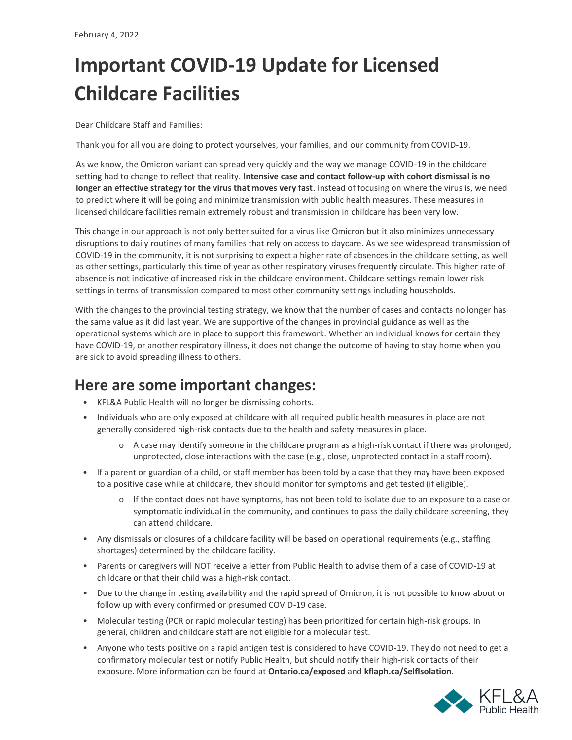## **Important COVID-19 Update for Licensed Childcare Facilities**

Dear Childcare Staff and Families:

Thank you for all you are doing to protect yourselves, your families, and our community from COVID-19.

As we know, the Omicron variant can spread very quickly and the way we manage COVID-19 in the childcare setting had to change to reflect that reality. **Intensive case and contact follow-up with cohort dismissal is no longer an effective strategy for the virus that moves very fast**. Instead of focusing on where the virus is, we need to predict where it will be going and minimize transmission with public health measures. These measures in licensed childcare facilities remain extremely robust and transmission in childcare has been very low.

This change in our approach is not only better suited for a virus like Omicron but it also minimizes unnecessary disruptions to daily routines of many families that rely on access to daycare. As we see widespread transmission of COVID-19 in the community, it is not surprising to expect a higher rate of absences in the childcare setting, as well as other settings, particularly this time of year as other respiratory viruses frequently circulate. This higher rate of absence is not indicative of increased risk in the childcare environment. Childcare settings remain lower risk settings in terms of transmission compared to most other community settings including households.

With the changes to the provincial testing strategy, we know that the number of cases and contacts no longer has the same value as it did last year. We are supportive of the changes in provincial guidance as well as the operational systems which are in place to support this framework. Whether an individual knows for certain they have COVID-19, or another respiratory illness, it does not change the outcome of having to stay home when you are sick to avoid spreading illness to others.

## **Here are some important changes:**

- KFL&A Public Health will no longer be dismissing cohorts.
- Individuals who are only exposed at childcare with all required public health measures in place are not generally considered high-risk contacts due to the health and safety measures in place.
	- o A case may identify someone in the childcare program as a high-risk contact if there was prolonged, unprotected, close interactions with the case (e.g., close, unprotected contact in a staff room).
- If a parent or guardian of a child, or staff member has been told by a case that they may have been exposed to a positive case while at childcare, they should monitor for symptoms and get tested (if eligible).
	- o If the contact does not have symptoms, has not been told to isolate due to an exposure to a case or symptomatic individual in the community, and continues to pass the daily childcare screening, they can attend childcare.
- Any dismissals or closures of a childcare facility will be based on operational requirements (e.g., staffing shortages) determined by the childcare facility.
- Parents or caregivers will NOT receive a letter from Public Health to advise them of a case of COVID-19 at childcare or that their child was a high-risk contact.
- Due to the change in testing availability and the rapid spread of Omicron, it is not possible to know about or follow up with every confirmed or presumed COVID-19 case.
- Molecular testing (PCR or rapid molecular testing) has been prioritized for certain high-risk groups. In general, children and childcare staff are not eligible for a molecular test.
- Anyone who tests positive on a rapid antigen test is considered to have COVID-19. They do not need to get a confirmatory molecular test or notify Public Health, but should notify their high-risk contacts of their exposure. More information can be found at **[Ontario.ca/exposed](https://covid-19.ontario.ca/exposed?utm_source=mobile-app-organic&utm_medium=referral&utm_campaign=covid-alert-mobile-app-english&utm_content=covidalertapppage-text&positive)** and **[kflaph.ca/SelfIsolation](https://www.kflaph.ca/en/healthy-living/social-distancing-and-self-isolation.aspx)**.